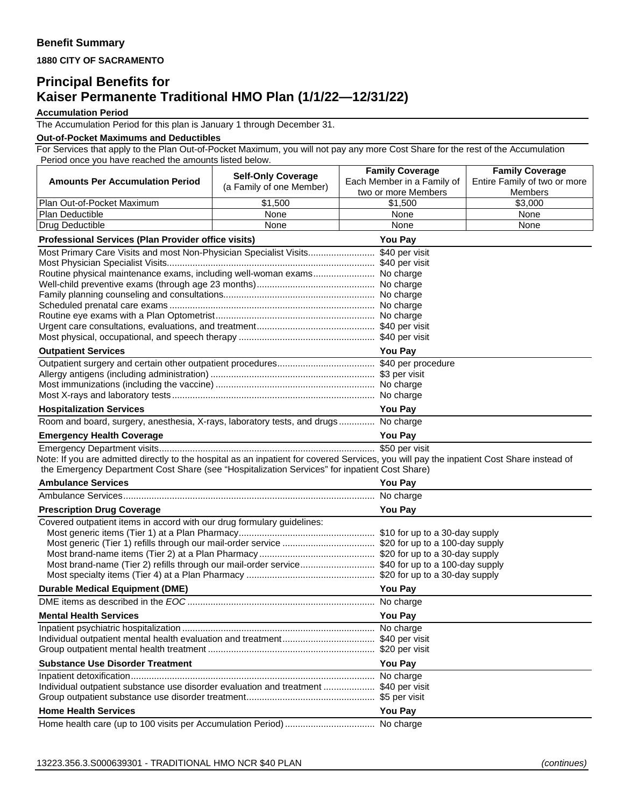**1880 CITY OF SACRAMENTO** 

## **Principal Benefits for Kaiser Permanente Traditional HMO Plan (1/1/22—12/31/22)**

**Accumulation Period**

The Accumulation Period for this plan is January 1 through December 31.

## **Out-of-Pocket Maximums and Deductibles**

For Services that apply to the Plan Out-of-Pocket Maximum, you will not pay any more Cost Share for the rest of the Accumulation Period once you have reached the amounts listed below.

|                                                                                                                                                                                                                                            | <b>Self-Only Coverage</b> | <b>Family Coverage</b>     | <b>Family Coverage</b>       |  |
|--------------------------------------------------------------------------------------------------------------------------------------------------------------------------------------------------------------------------------------------|---------------------------|----------------------------|------------------------------|--|
| <b>Amounts Per Accumulation Period</b>                                                                                                                                                                                                     | (a Family of one Member)  | Each Member in a Family of | Entire Family of two or more |  |
|                                                                                                                                                                                                                                            |                           | two or more Members        | Members                      |  |
| Plan Out-of-Pocket Maximum<br>Plan Deductible                                                                                                                                                                                              | \$1,500<br>None           | \$1,500<br>None            | \$3,000<br>None              |  |
| Drug Deductible                                                                                                                                                                                                                            | None                      | None                       | None                         |  |
|                                                                                                                                                                                                                                            |                           | <b>You Pay</b>             |                              |  |
| <b>Professional Services (Plan Provider office visits)</b><br>Most Primary Care Visits and most Non-Physician Specialist Visits \$40 per visit                                                                                             |                           |                            |                              |  |
|                                                                                                                                                                                                                                            |                           |                            |                              |  |
| Routine physical maintenance exams, including well-woman exams No charge                                                                                                                                                                   |                           |                            |                              |  |
|                                                                                                                                                                                                                                            |                           |                            |                              |  |
|                                                                                                                                                                                                                                            |                           |                            |                              |  |
|                                                                                                                                                                                                                                            |                           |                            |                              |  |
|                                                                                                                                                                                                                                            |                           |                            |                              |  |
|                                                                                                                                                                                                                                            |                           |                            |                              |  |
| <b>Outpatient Services</b><br><b>You Pay</b>                                                                                                                                                                                               |                           |                            |                              |  |
|                                                                                                                                                                                                                                            |                           |                            |                              |  |
|                                                                                                                                                                                                                                            |                           |                            |                              |  |
|                                                                                                                                                                                                                                            |                           |                            |                              |  |
|                                                                                                                                                                                                                                            |                           |                            |                              |  |
| <b>Hospitalization Services</b>                                                                                                                                                                                                            |                           | <b>You Pay</b>             |                              |  |
| Room and board, surgery, anesthesia, X-rays, laboratory tests, and drugs No charge                                                                                                                                                         |                           |                            |                              |  |
| <b>Emergency Health Coverage</b>                                                                                                                                                                                                           |                           | <b>You Pay</b>             |                              |  |
|                                                                                                                                                                                                                                            |                           |                            |                              |  |
| Note: If you are admitted directly to the hospital as an inpatient for covered Services, you will pay the inpatient Cost Share instead of<br>the Emergency Department Cost Share (see "Hospitalization Services" for inpatient Cost Share) |                           |                            |                              |  |
| <b>Ambulance Services</b>                                                                                                                                                                                                                  |                           | <b>You Pay</b>             |                              |  |
|                                                                                                                                                                                                                                            |                           |                            |                              |  |
| <b>Prescription Drug Coverage</b>                                                                                                                                                                                                          | <b>You Pay</b>            |                            |                              |  |
| Covered outpatient items in accord with our drug formulary guidelines:                                                                                                                                                                     |                           |                            |                              |  |
|                                                                                                                                                                                                                                            |                           |                            |                              |  |
| Most generic (Tier 1) refills through our mail-order service  \$20 for up to a 100-day supply                                                                                                                                              |                           |                            |                              |  |
| Most brand-name (Tier 2) refills through our mail-order service \$40 for up to a 100-day supply                                                                                                                                            |                           |                            |                              |  |
|                                                                                                                                                                                                                                            |                           |                            |                              |  |
| <b>Durable Medical Equipment (DME)</b>                                                                                                                                                                                                     |                           | <b>You Pay</b>             |                              |  |
|                                                                                                                                                                                                                                            |                           |                            |                              |  |
| <b>Mental Health Services</b>                                                                                                                                                                                                              |                           | <b>You Pay</b>             |                              |  |
|                                                                                                                                                                                                                                            |                           |                            |                              |  |
|                                                                                                                                                                                                                                            |                           |                            |                              |  |
|                                                                                                                                                                                                                                            |                           |                            |                              |  |
| <b>Substance Use Disorder Treatment</b>                                                                                                                                                                                                    | <b>You Pay</b>            |                            |                              |  |
|                                                                                                                                                                                                                                            |                           |                            |                              |  |
| Individual outpatient substance use disorder evaluation and treatment  \$40 per visit                                                                                                                                                      |                           |                            |                              |  |
|                                                                                                                                                                                                                                            |                           |                            |                              |  |
| <b>Home Health Services</b>                                                                                                                                                                                                                | <b>You Pay</b>            |                            |                              |  |
|                                                                                                                                                                                                                                            |                           |                            |                              |  |